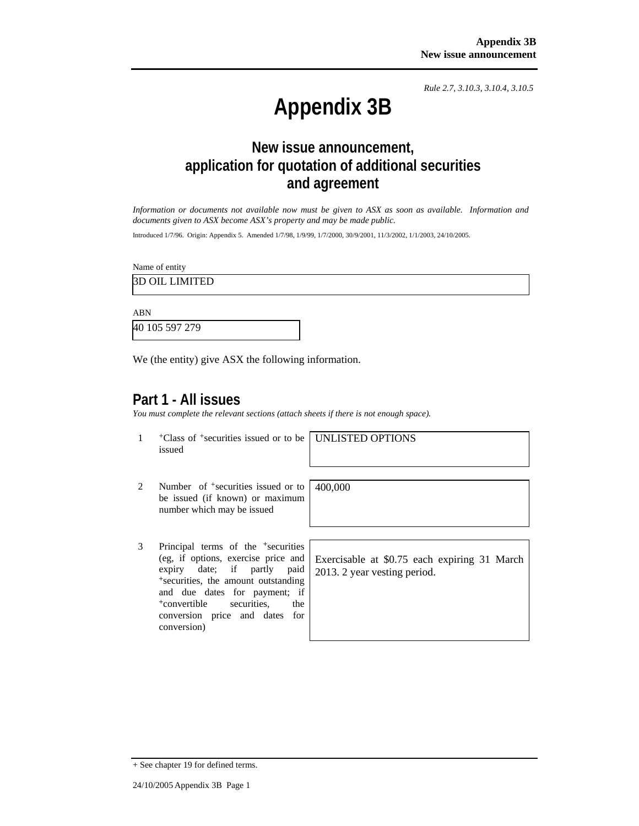*Rule 2.7, 3.10.3, 3.10.4, 3.10.5*

# **Appendix 3B**

## **New issue announcement, application for quotation of additional securities and agreement**

*Information or documents not available now must be given to ASX as soon as available. Information and documents given to ASX become ASX's property and may be made public.* 

Introduced 1/7/96. Origin: Appendix 5. Amended 1/7/98, 1/9/99, 1/7/2000, 30/9/2001, 11/3/2002, 1/1/2003, 24/10/2005.

Name of entity

3D OIL LIMITED

ABN

40 105 597 279

We (the entity) give ASX the following information.

### **Part 1 - All issues**

*You must complete the relevant sections (attach sheets if there is not enough space).*

1 +Class of +securities issued or to be issued

UNLISTED OPTIONS

- 2 Number of <sup>+</sup>securities issued or to be issued (if known) or maximum number which may be issued
- 3 Principal terms of the +securities (eg, if options, exercise price and expiry date; if partly paid <sup>+</sup>securities, the amount outstanding and due dates for payment; if <sup>+</sup>convertible securities, the conversion price and dates for conversion)

400,000

Exercisable at \$0.75 each expiring 31 March 2013. 2 year vesting period.

<sup>+</sup> See chapter 19 for defined terms.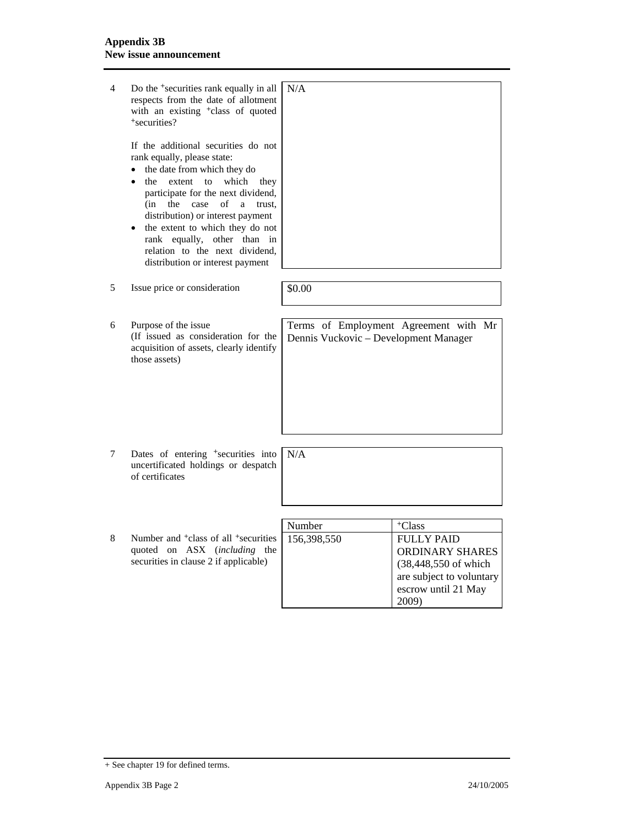4 Do the +securities rank equally in all respects from the date of allotment with an existing <sup>+</sup>class of quoted <sup>+</sup>securities? If the additional securities do not rank equally, please state: • the date from which they do • the extent to which they participate for the next dividend, (in the case of a trust, distribution) or interest payment • the extent to which they do not rank equally, other than in relation to the next dividend, distribution or interest payment N/A  $5$  Issue price or consideration  $\boxed{\$0.00}$ 6 Purpose of the issue (If issued as consideration for the acquisition of assets, clearly identify those assets) Terms of Employment Agreement with Mr Dennis Vuckovic – Development Manager 7 Dates of entering <sup>+</sup>securities into uncertificated holdings or despatch of certificates N/A Number | +Class 8 Number and <sup>+</sup>class of all <sup>+</sup>securities quoted on ASX (*including* the securities in clause 2 if applicable) 156,398,550 FULLY PAID ORDINARY SHARES (38,448,550 of which are subject to voluntary escrow until 21 May 2009)

<sup>+</sup> See chapter 19 for defined terms.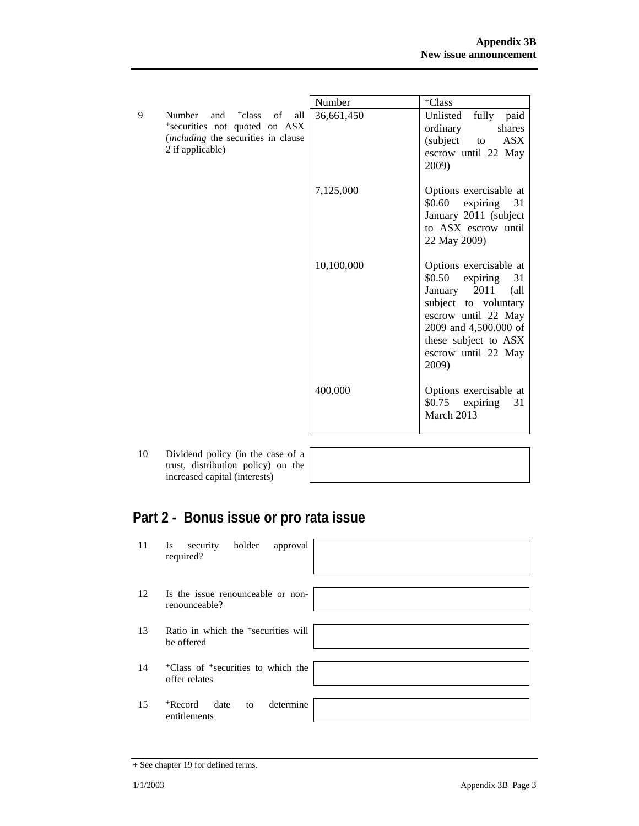|   |                                                                                                                                              | Number     | <sup>+</sup> Class                                                                                                                                                                                                |
|---|----------------------------------------------------------------------------------------------------------------------------------------------|------------|-------------------------------------------------------------------------------------------------------------------------------------------------------------------------------------------------------------------|
| 9 | Number and <sup>+</sup> class of all<br><sup>+</sup> securities not quoted on ASX<br>(including the securities in clause<br>2 if applicable) | 36,661,450 | fully<br>Unlisted<br>paid<br>shares<br>ordinary<br>(subject to<br><b>ASX</b><br>escrow until 22 May<br>2009)                                                                                                      |
|   |                                                                                                                                              | 7,125,000  | Options exercisable at<br>\$0.60<br>expiring 31<br>January 2011 (subject<br>to ASX escrow until<br>22 May 2009)                                                                                                   |
|   |                                                                                                                                              | 10,100,000 | Options exercisable at<br>\$0.50<br>expiring<br>31<br>January 2011<br>$\alpha$ ll<br>subject to voluntary<br>escrow until 22 May<br>2009 and 4,500.000 of<br>these subject to ASX<br>escrow until 22 May<br>2009) |
|   |                                                                                                                                              | 400,000    | Options exercisable at<br>\$0.75<br>expiring<br>31<br>March 2013                                                                                                                                                  |

10 Dividend policy (in the case of a trust, distribution policy) on the increased capital (interests)

## **Part 2 - Bonus issue or pro rata issue**

| 11 | holder<br>security<br>approval<br><b>Is</b><br>required?                    |  |
|----|-----------------------------------------------------------------------------|--|
| 12 | Is the issue renounceable or non-<br>renounceable?                          |  |
| 13 | Ratio in which the <sup>+</sup> securities will<br>be offered               |  |
| 14 | <sup>+</sup> Class of <sup>+</sup> securities to which the<br>offer relates |  |
| 15 | determine<br><sup>+</sup> Record<br>date<br>to<br>entitlements              |  |

<sup>+</sup> See chapter 19 for defined terms.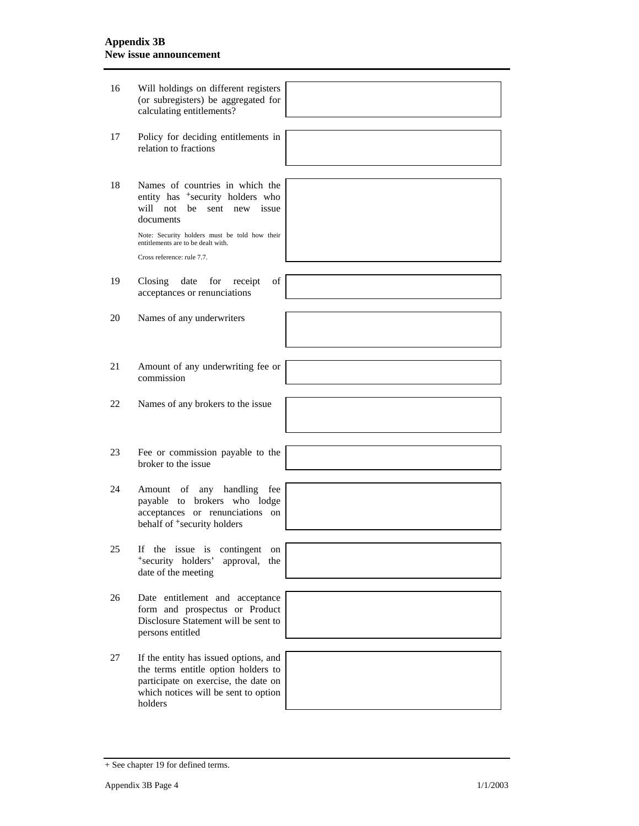| 16 | Will holdings on different registers<br>(or subregisters) be aggregated for<br>calculating entitlements?                                                                |  |
|----|-------------------------------------------------------------------------------------------------------------------------------------------------------------------------|--|
| 17 | Policy for deciding entitlements in<br>relation to fractions                                                                                                            |  |
|    |                                                                                                                                                                         |  |
| 18 | Names of countries in which the<br>entity has <sup>+</sup> security holders who<br>will not<br>be<br>sent new issue<br>documents                                        |  |
|    | Note: Security holders must be told how their<br>entitlements are to be dealt with.<br>Cross reference: rule 7.7.                                                       |  |
|    |                                                                                                                                                                         |  |
| 19 | Closing<br>date for<br>of<br>receipt<br>acceptances or renunciations                                                                                                    |  |
|    |                                                                                                                                                                         |  |
| 20 | Names of any underwriters                                                                                                                                               |  |
|    |                                                                                                                                                                         |  |
| 21 | Amount of any underwriting fee or<br>commission                                                                                                                         |  |
|    |                                                                                                                                                                         |  |
| 22 | Names of any brokers to the issue                                                                                                                                       |  |
|    |                                                                                                                                                                         |  |
|    |                                                                                                                                                                         |  |
| 23 | Fee or commission payable to the<br>broker to the issue                                                                                                                 |  |
|    |                                                                                                                                                                         |  |
| 24 | any handling<br>Amount<br>of<br>fee<br>payable to brokers who lodge<br>acceptances or renunciations on<br>behalf of <sup>+</sup> security holders                       |  |
|    |                                                                                                                                                                         |  |
| 25 | the issue is<br>contingent<br>If<br>on<br>*security holders'<br>approval,<br>the<br>date of the meeting                                                                 |  |
|    |                                                                                                                                                                         |  |
| 26 | Date entitlement and acceptance<br>form and prospectus or Product                                                                                                       |  |
|    | Disclosure Statement will be sent to<br>persons entitled                                                                                                                |  |
|    |                                                                                                                                                                         |  |
| 27 | If the entity has issued options, and<br>the terms entitle option holders to<br>participate on exercise, the date on<br>which notices will be sent to option<br>holders |  |
|    |                                                                                                                                                                         |  |

<sup>+</sup> See chapter 19 for defined terms.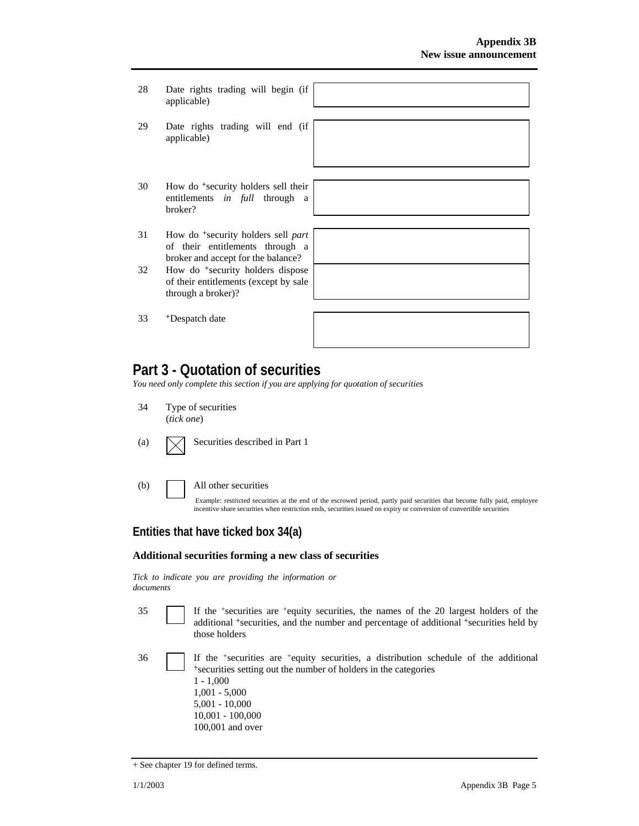- 28 Date rights trading will begin (if applicable)
- 29 Date rights trading will end (if applicable)
- 30 How do +security holders sell their entitlements *in full* through a broker?
- 31 How do +security holders sell *part* of their entitlements through a broker and accept for the balance?
- 32 How do +security holders dispose of their entitlements (except by sale through a broker)?
- 33 +Despatch date



## **Part 3 - Quotation of securities**

*You need only complete this section if you are applying for quotation of securities* 

- 34 Type of securities (*tick one*)
	-
- 

(a)  $\sqrt{\phantom{a}}$  Securities described in Part 1

(b) All other securities

Example: restricted securities at the end of the escrowed period, partly paid securities that become fully paid, employee incentive share securities when restriction ends, securities issued on expiry or conversion of convertible securities

#### **Entities that have ticked box 34(a)**

#### **Additional securities forming a new class of securities**

*Tick to indicate you are providing the information or documents*

- 35 If the +securities are +equity securities, the names of the 20 largest holders of the additional <sup>+</sup>securities, and the number and percentage of additional <sup>+</sup>securities held by those holders
- 36 If the +securities are +equity securities, a distribution schedule of the additional <sup>+</sup>securities setting out the number of holders in the categories 1 - 1,000 1,001 - 5,000 5,001 - 10,000 10,001 - 100,000 100,001 and over

<sup>+</sup> See chapter 19 for defined terms.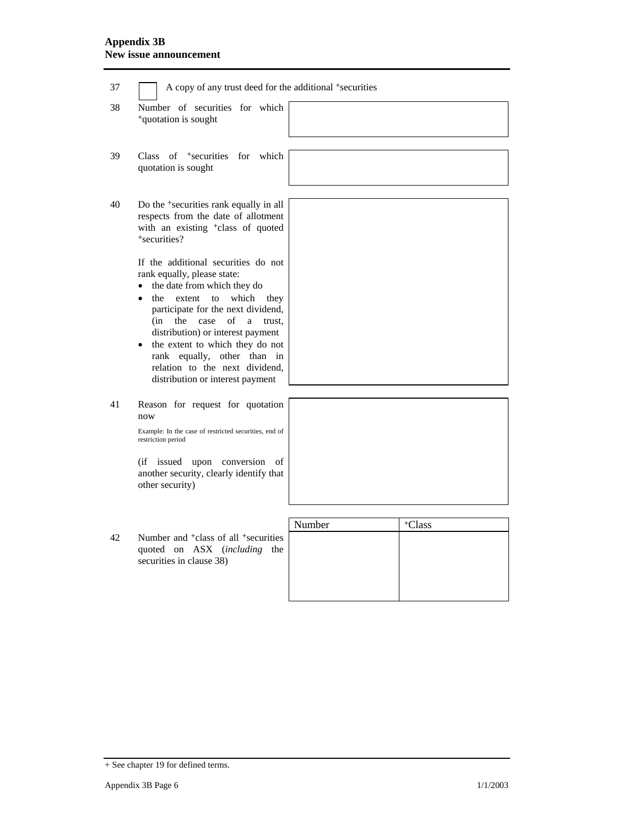| 37 | A copy of any trust deed for the additional <sup>+</sup> securities                                                                                                                                                                                                                                                                                                                                               |        |                    |
|----|-------------------------------------------------------------------------------------------------------------------------------------------------------------------------------------------------------------------------------------------------------------------------------------------------------------------------------------------------------------------------------------------------------------------|--------|--------------------|
| 38 | Number of securities for which<br><sup>+</sup> quotation is sought                                                                                                                                                                                                                                                                                                                                                |        |                    |
| 39 | Class of <sup>+</sup> securities<br>for<br>which<br>quotation is sought                                                                                                                                                                                                                                                                                                                                           |        |                    |
| 40 | Do the <sup>+</sup> securities rank equally in all<br>respects from the date of allotment<br>with an existing <sup>+</sup> class of quoted<br>+securities?                                                                                                                                                                                                                                                        |        |                    |
|    | If the additional securities do not<br>rank equally, please state:<br>the date from which they do<br>which<br>the<br>extent<br>$\mathbf{t}$<br>they<br>participate for the next dividend,<br>(in<br>the<br>case<br>of<br>trust.<br>a<br>distribution) or interest payment<br>the extent to which they do not<br>rank equally, other than in<br>relation to the next dividend,<br>distribution or interest payment |        |                    |
| 41 | Reason for request for quotation<br>now                                                                                                                                                                                                                                                                                                                                                                           |        |                    |
|    | Example: In the case of restricted securities, end of<br>restriction period                                                                                                                                                                                                                                                                                                                                       |        |                    |
|    | (if issued upon conversion<br>of<br>another security, clearly identify that<br>other security)                                                                                                                                                                                                                                                                                                                    |        |                    |
|    |                                                                                                                                                                                                                                                                                                                                                                                                                   | Number | <sup>+</sup> Class |
| 42 | Number and <sup>+</sup> class of all <sup>+</sup> securities<br>quoted on ASX (including<br>the<br>securities in clause 38)                                                                                                                                                                                                                                                                                       |        |                    |